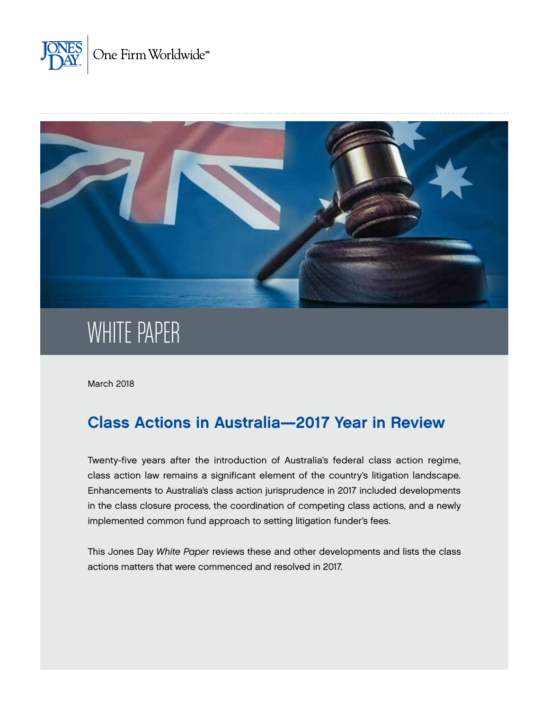



# WHITE PAPER

March 2018

# Class Actions in Australia—2017 Year in Review

Twenty-five years after the introduction of Australia's federal class action regime, class action law remains a significant element of the country's litigation landscape. Enhancements to Australia's class action jurisprudence in 2017 included developments in the class closure process, the coordination of competing class actions, and a newly implemented common fund approach to setting litigation funder's fees.

This Jones Day *White Paper* reviews these and other developments and lists the class actions matters that were commenced and resolved in 2017.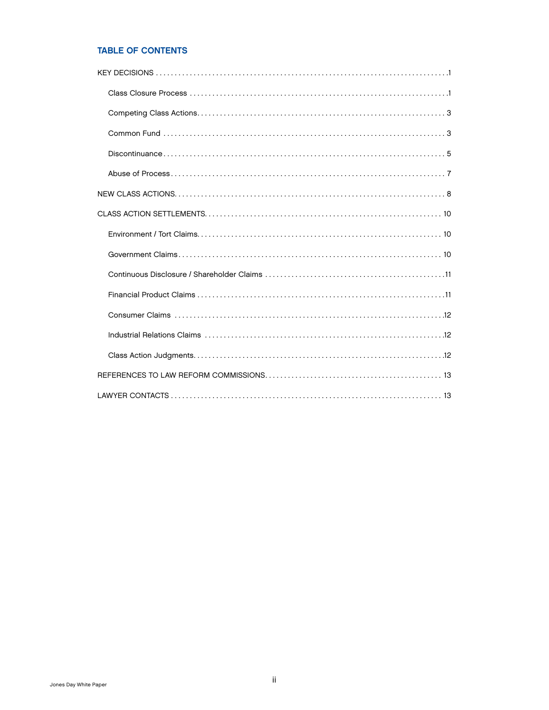# TABLE OF CONTENTS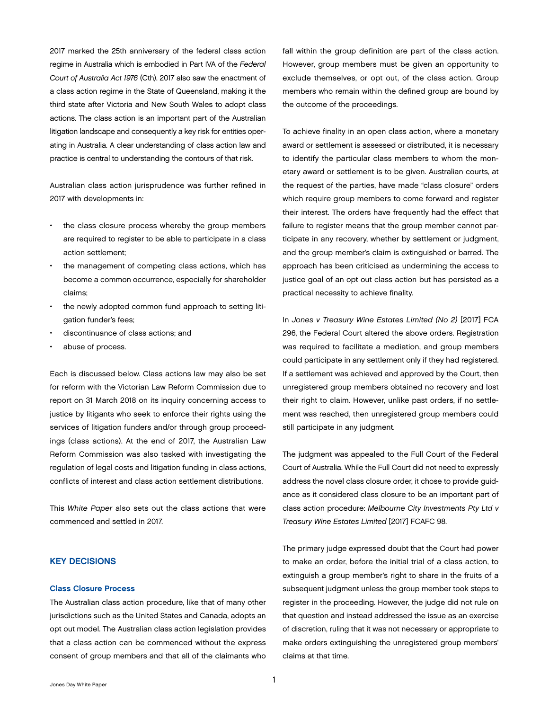<span id="page-2-0"></span>2017 marked the 25th anniversary of the federal class action regime in Australia which is embodied in Part IVA of the *Federal Court of Australia Act 1976* (Cth). 2017 also saw the enactment of a class action regime in the State of Queensland, making it the third state after Victoria and New South Wales to adopt class actions. The class action is an important part of the Australian litigation landscape and consequently a key risk for entities operating in Australia. A clear understanding of class action law and practice is central to understanding the contours of that risk.

Australian class action jurisprudence was further refined in 2017 with developments in:

- the class closure process whereby the group members are required to register to be able to participate in a class action settlement;
- the management of competing class actions, which has become a common occurrence, especially for shareholder claims;
- the newly adopted common fund approach to setting litigation funder's fees;
- discontinuance of class actions; and
- abuse of process.

Each is discussed below. Class actions law may also be set for reform with the Victorian Law Reform Commission due to report on 31 March 2018 on its inquiry concerning access to justice by litigants who seek to enforce their rights using the services of litigation funders and/or through group proceedings (class actions). At the end of 2017, the Australian Law Reform Commission was also tasked with investigating the regulation of legal costs and litigation funding in class actions, conflicts of interest and class action settlement distributions.

This *White Paper* also sets out the class actions that were commenced and settled in 2017.

# KEY DECISIONS

#### Class Closure Process

The Australian class action procedure, like that of many other jurisdictions such as the United States and Canada, adopts an opt out model. The Australian class action legislation provides that a class action can be commenced without the express consent of group members and that all of the claimants who

fall within the group definition are part of the class action. However, group members must be given an opportunity to exclude themselves, or opt out, of the class action. Group members who remain within the defined group are bound by the outcome of the proceedings.

To achieve finality in an open class action, where a monetary award or settlement is assessed or distributed, it is necessary to identify the particular class members to whom the monetary award or settlement is to be given. Australian courts, at the request of the parties, have made "class closure" orders which require group members to come forward and register their interest. The orders have frequently had the effect that failure to register means that the group member cannot participate in any recovery, whether by settlement or judgment, and the group member's claim is extinguished or barred. The approach has been criticised as undermining the access to justice goal of an opt out class action but has persisted as a practical necessity to achieve finality.

In *Jones v Treasury Wine Estates Limited (No 2)* [2017] FCA 296, the Federal Court altered the above orders. Registration was required to facilitate a mediation, and group members could participate in any settlement only if they had registered. If a settlement was achieved and approved by the Court, then unregistered group members obtained no recovery and lost their right to claim. However, unlike past orders, if no settlement was reached, then unregistered group members could still participate in any judgment.

The judgment was appealed to the Full Court of the Federal Court of Australia. While the Full Court did not need to expressly address the novel class closure order, it chose to provide guidance as it considered class closure to be an important part of class action procedure: *Melbourne City Investments Pty Ltd v Treasury Wine Estates Limited* [2017] FCAFC 98.

The primary judge expressed doubt that the Court had power to make an order, before the initial trial of a class action, to extinguish a group member's right to share in the fruits of a subsequent judgment unless the group member took steps to register in the proceeding. However, the judge did not rule on that question and instead addressed the issue as an exercise of discretion, ruling that it was not necessary or appropriate to make orders extinguishing the unregistered group members' claims at that time.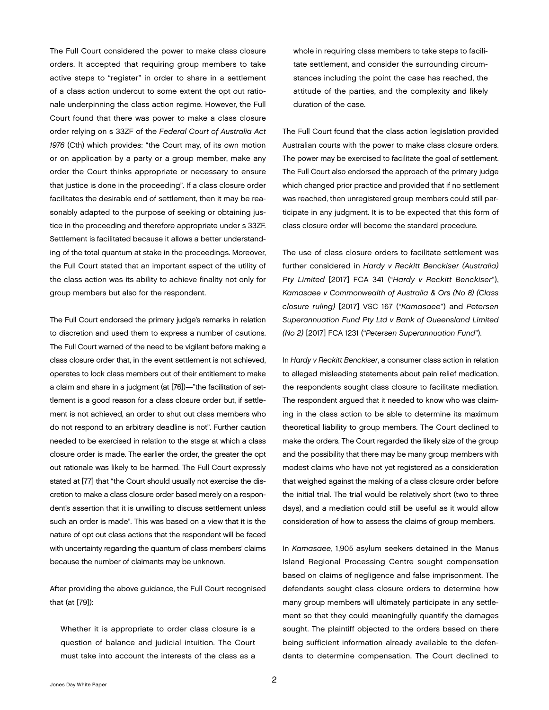The Full Court considered the power to make class closure orders. It accepted that requiring group members to take active steps to "register" in order to share in a settlement of a class action undercut to some extent the opt out rationale underpinning the class action regime. However, the Full Court found that there was power to make a class closure order relying on s 33ZF of the *Federal Court of Australia Act 1976* (Cth) which provides: "the Court may, of its own motion or on application by a party or a group member, make any order the Court thinks appropriate or necessary to ensure that justice is done in the proceeding". If a class closure order facilitates the desirable end of settlement, then it may be reasonably adapted to the purpose of seeking or obtaining justice in the proceeding and therefore appropriate under s 33ZF. Settlement is facilitated because it allows a better understanding of the total quantum at stake in the proceedings. Moreover, the Full Court stated that an important aspect of the utility of the class action was its ability to achieve finality not only for group members but also for the respondent.

The Full Court endorsed the primary judge's remarks in relation to discretion and used them to express a number of cautions. The Full Court warned of the need to be vigilant before making a class closure order that, in the event settlement is not achieved, operates to lock class members out of their entitlement to make a claim and share in a judgment (at [76])—"the facilitation of settlement is a good reason for a class closure order but, if settlement is not achieved, an order to shut out class members who do not respond to an arbitrary deadline is not". Further caution needed to be exercised in relation to the stage at which a class closure order is made. The earlier the order, the greater the opt out rationale was likely to be harmed. The Full Court expressly stated at [77] that "the Court should usually not exercise the discretion to make a class closure order based merely on a respondent's assertion that it is unwilling to discuss settlement unless such an order is made". This was based on a view that it is the nature of opt out class actions that the respondent will be faced with uncertainty regarding the quantum of class members' claims because the number of claimants may be unknown.

After providing the above guidance, the Full Court recognised that (at [79]):

Whether it is appropriate to order class closure is a question of balance and judicial intuition. The Court must take into account the interests of the class as a whole in requiring class members to take steps to facilitate settlement, and consider the surrounding circumstances including the point the case has reached, the attitude of the parties, and the complexity and likely duration of the case.

The Full Court found that the class action legislation provided Australian courts with the power to make class closure orders. The power may be exercised to facilitate the goal of settlement. The Full Court also endorsed the approach of the primary judge which changed prior practice and provided that if no settlement was reached, then unregistered group members could still participate in any judgment. It is to be expected that this form of class closure order will become the standard procedure.

The use of class closure orders to facilitate settlement was further considered in *Hardy v Reckitt Benckiser (Australia) Pty Limited* [2017] FCA 341 ("*Hardy v Reckitt Benckiser*"), *Kamasaee v Commonwealth of Australia & Ors (No 8) (Class closure ruling)* [2017] VSC 167 ("*Kamasaee*") and *Petersen Superannuation Fund Pty Ltd v Bank of Queensland Limited (No 2)* [2017] FCA 1231 ("*Petersen Superannuation Fund*").

In *Hardy v Reckitt Benckiser*, a consumer class action in relation to alleged misleading statements about pain relief medication, the respondents sought class closure to facilitate mediation. The respondent argued that it needed to know who was claiming in the class action to be able to determine its maximum theoretical liability to group members. The Court declined to make the orders. The Court regarded the likely size of the group and the possibility that there may be many group members with modest claims who have not yet registered as a consideration that weighed against the making of a class closure order before the initial trial. The trial would be relatively short (two to three days), and a mediation could still be useful as it would allow consideration of how to assess the claims of group members.

In *Kamasaee*, 1,905 asylum seekers detained in the Manus Island Regional Processing Centre sought compensation based on claims of negligence and false imprisonment. The defendants sought class closure orders to determine how many group members will ultimately participate in any settlement so that they could meaningfully quantify the damages sought. The plaintiff objected to the orders based on there being sufficient information already available to the defendants to determine compensation. The Court declined to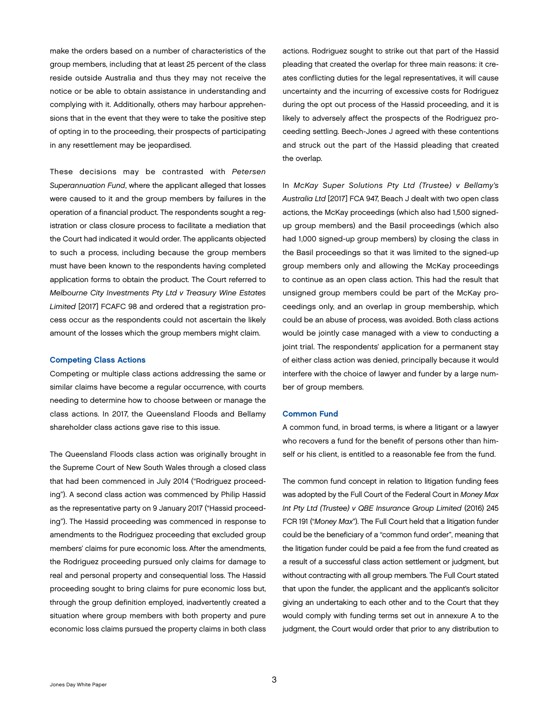<span id="page-4-0"></span>make the orders based on a number of characteristics of the group members, including that at least 25 percent of the class reside outside Australia and thus they may not receive the notice or be able to obtain assistance in understanding and complying with it. Additionally, others may harbour apprehensions that in the event that they were to take the positive step of opting in to the proceeding, their prospects of participating in any resettlement may be jeopardised.

These decisions may be contrasted with *Petersen Superannuation Fund*, where the applicant alleged that losses were caused to it and the group members by failures in the operation of a financial product. The respondents sought a registration or class closure process to facilitate a mediation that the Court had indicated it would order. The applicants objected to such a process, including because the group members must have been known to the respondents having completed application forms to obtain the product. The Court referred to *Melbourne City Investments Pty Ltd v Treasury Wine Estates Limited* [2017] FCAFC 98 and ordered that a registration process occur as the respondents could not ascertain the likely amount of the losses which the group members might claim.

#### Competing Class Actions

Competing or multiple class actions addressing the same or similar claims have become a regular occurrence, with courts needing to determine how to choose between or manage the class actions. In 2017, the Queensland Floods and Bellamy shareholder class actions gave rise to this issue.

The Queensland Floods class action was originally brought in the Supreme Court of New South Wales through a closed class that had been commenced in July 2014 ("Rodriguez proceeding"). A second class action was commenced by Philip Hassid as the representative party on 9 January 2017 ("Hassid proceeding"). The Hassid proceeding was commenced in response to amendments to the Rodriguez proceeding that excluded group members' claims for pure economic loss. After the amendments, the Rodriguez proceeding pursued only claims for damage to real and personal property and consequential loss. The Hassid proceeding sought to bring claims for pure economic loss but, through the group definition employed, inadvertently created a situation where group members with both property and pure economic loss claims pursued the property claims in both class actions. Rodriguez sought to strike out that part of the Hassid pleading that created the overlap for three main reasons: it creates conflicting duties for the legal representatives, it will cause uncertainty and the incurring of excessive costs for Rodriguez during the opt out process of the Hassid proceeding, and it is likely to adversely affect the prospects of the Rodriguez proceeding settling. Beech-Jones J agreed with these contentions and struck out the part of the Hassid pleading that created the overlap.

In *McKay Super Solutions Pty Ltd (Trustee) v Bellamy's Australia Ltd* [2017] FCA 947, Beach J dealt with two open class actions, the McKay proceedings (which also had 1,500 signedup group members) and the Basil proceedings (which also had 1,000 signed-up group members) by closing the class in the Basil proceedings so that it was limited to the signed-up group members only and allowing the McKay proceedings to continue as an open class action. This had the result that unsigned group members could be part of the McKay proceedings only, and an overlap in group membership, which could be an abuse of process, was avoided. Both class actions would be jointly case managed with a view to conducting a joint trial. The respondents' application for a permanent stay of either class action was denied, principally because it would interfere with the choice of lawyer and funder by a large number of group members.

#### Common Fund

A common fund, in broad terms, is where a litigant or a lawyer who recovers a fund for the benefit of persons other than himself or his client, is entitled to a reasonable fee from the fund.

The common fund concept in relation to litigation funding fees was adopted by the Full Court of the Federal Court in *Money Max Int Pty Ltd (Trustee) v QBE Insurance Group Limited* (2016) 245 FCR 191 ("*Money Max*"). The Full Court held that a litigation funder could be the beneficiary of a "common fund order", meaning that the litigation funder could be paid a fee from the fund created as a result of a successful class action settlement or judgment, but without contracting with all group members. The Full Court stated that upon the funder, the applicant and the applicant's solicitor giving an undertaking to each other and to the Court that they would comply with funding terms set out in annexure A to the judgment, the Court would order that prior to any distribution to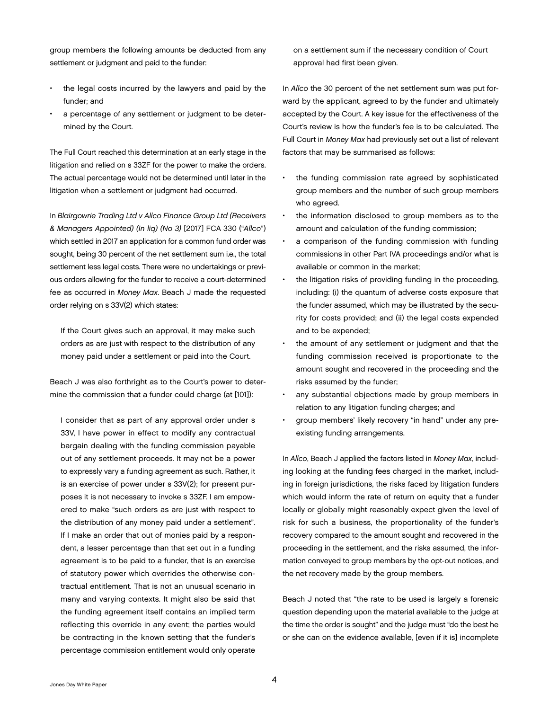4 Jones Day White Paper

group members the following amounts be deducted from any settlement or judgment and paid to the funder:

- the legal costs incurred by the lawyers and paid by the funder; and
- a percentage of any settlement or judgment to be determined by the Court.

The Full Court reached this determination at an early stage in the litigation and relied on s 33ZF for the power to make the orders. The actual percentage would not be determined until later in the litigation when a settlement or judgment had occurred.

In *Blairgowrie Trading Ltd v Allco Finance Group Ltd (Receivers & Managers Appointed) (In liq) (No 3)* [2017] FCA 330 ("*Allco*") which settled in 2017 an application for a common fund order was sought, being 30 percent of the net settlement sum i.e., the total settlement less legal costs. There were no undertakings or previous orders allowing for the funder to receive a court-determined fee as occurred in *Money Max*. Beach J made the requested order relying on s 33V(2) which states:

If the Court gives such an approval, it may make such orders as are just with respect to the distribution of any money paid under a settlement or paid into the Court.

Beach J was also forthright as to the Court's power to determine the commission that a funder could charge (at [101]):

I consider that as part of any approval order under s 33V, I have power in effect to modify any contractual bargain dealing with the funding commission payable out of any settlement proceeds. It may not be a power to expressly vary a funding agreement as such. Rather, it is an exercise of power under s 33V(2); for present purposes it is not necessary to invoke s 33ZF. I am empowered to make "such orders as are just with respect to the distribution of any money paid under a settlement". If I make an order that out of monies paid by a respondent, a lesser percentage than that set out in a funding agreement is to be paid to a funder, that is an exercise of statutory power which overrides the otherwise contractual entitlement. That is not an unusual scenario in many and varying contexts. It might also be said that the funding agreement itself contains an implied term reflecting this override in any event; the parties would be contracting in the known setting that the funder's percentage commission entitlement would only operate

on a settlement sum if the necessary condition of Court approval had first been given.

In *Allco* the 30 percent of the net settlement sum was put forward by the applicant, agreed to by the funder and ultimately accepted by the Court. A key issue for the effectiveness of the Court's review is how the funder's fee is to be calculated. The Full Court in *Money Max* had previously set out a list of relevant factors that may be summarised as follows:

- the funding commission rate agreed by sophisticated group members and the number of such group members who agreed.
- the information disclosed to group members as to the amount and calculation of the funding commission;
- a comparison of the funding commission with funding commissions in other Part IVA proceedings and/or what is available or common in the market;
- the litigation risks of providing funding in the proceeding, including: (i) the quantum of adverse costs exposure that the funder assumed, which may be illustrated by the security for costs provided; and (ii) the legal costs expended and to be expended;
- the amount of any settlement or judgment and that the funding commission received is proportionate to the amount sought and recovered in the proceeding and the risks assumed by the funder;
- any substantial objections made by group members in relation to any litigation funding charges; and
- group members' likely recovery "in hand" under any preexisting funding arrangements.

In *Allco*, Beach J applied the factors listed in *Money Max*, including looking at the funding fees charged in the market, including in foreign jurisdictions, the risks faced by litigation funders which would inform the rate of return on equity that a funder locally or globally might reasonably expect given the level of risk for such a business, the proportionality of the funder's recovery compared to the amount sought and recovered in the proceeding in the settlement, and the risks assumed, the information conveyed to group members by the opt-out notices, and the net recovery made by the group members.

Beach J noted that "the rate to be used is largely a forensic question depending upon the material available to the judge at the time the order is sought" and the judge must "do the best he or she can on the evidence available, [even if it is] incomplete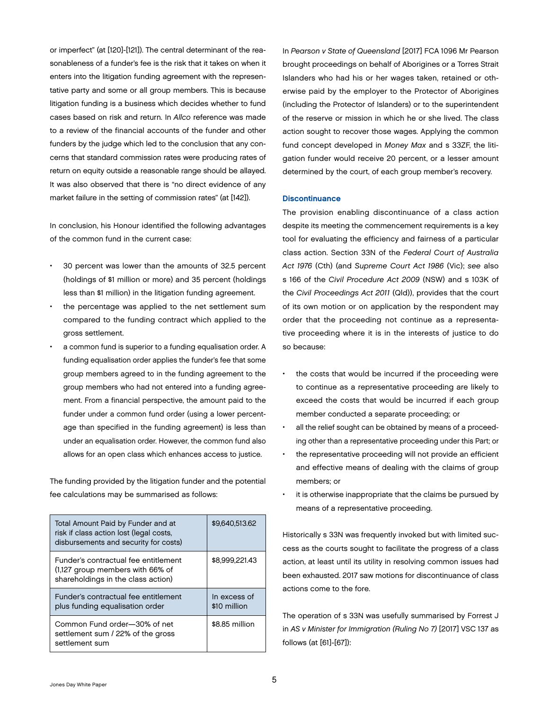<span id="page-6-0"></span>or imperfect" (at [120]-[121]). The central determinant of the reasonableness of a funder's fee is the risk that it takes on when it enters into the litigation funding agreement with the representative party and some or all group members. This is because litigation funding is a business which decides whether to fund cases based on risk and return. In *Allco* reference was made to a review of the financial accounts of the funder and other funders by the judge which led to the conclusion that any concerns that standard commission rates were producing rates of return on equity outside a reasonable range should be allayed. It was also observed that there is "no direct evidence of any market failure in the setting of commission rates" (at [142]).

In conclusion, his Honour identified the following advantages of the common fund in the current case:

- 30 percent was lower than the amounts of 32.5 percent (holdings of \$1 million or more) and 35 percent (holdings less than \$1 million) in the litigation funding agreement.
- the percentage was applied to the net settlement sum compared to the funding contract which applied to the gross settlement.
- a common fund is superior to a funding equalisation order. A funding equalisation order applies the funder's fee that some group members agreed to in the funding agreement to the group members who had not entered into a funding agreement. From a financial perspective, the amount paid to the funder under a common fund order (using a lower percentage than specified in the funding agreement) is less than under an equalisation order. However, the common fund also allows for an open class which enhances access to justice.

The funding provided by the litigation funder and the potential fee calculations may be summarised as follows:

| Total Amount Paid by Funder and at<br>risk if class action lost (legal costs,<br>disbursements and security for costs) | \$9,640,513,62               |
|------------------------------------------------------------------------------------------------------------------------|------------------------------|
| Funder's contractual fee entitlement<br>(1,127 group members with 66% of<br>shareholdings in the class action)         | \$8.999.221.43               |
| Funder's contractual fee entitlement<br>plus funding equalisation order                                                | In excess of<br>\$10 million |
| Common Fund order-30% of net<br>settlement sum / 22% of the gross<br>settlement sum                                    | \$8.85 million               |

In *Pearson v State of Queensland* [2017] FCA 1096 Mr Pearson brought proceedings on behalf of Aborigines or a Torres Strait Islanders who had his or her wages taken, retained or otherwise paid by the employer to the Protector of Aborigines (including the Protector of Islanders) or to the superintendent of the reserve or mission in which he or she lived. The class action sought to recover those wages. Applying the common fund concept developed in *Money Max* and s 33ZF, the litigation funder would receive 20 percent, or a lesser amount determined by the court, of each group member's recovery.

#### **Discontinuance**

The provision enabling discontinuance of a class action despite its meeting the commencement requirements is a key tool for evaluating the efficiency and fairness of a particular class action. Section 33N of the *Federal Court of Australia Act 1976* (Cth) (and *Supreme Court Act 1986* (Vic); *see* also s 166 of the *Civil Procedure Act 2009* (NSW) and s 103K of the *Civil Proceedings Act 2011* (Qld)), provides that the court of its own motion or on application by the respondent may order that the proceeding not continue as a representative proceeding where it is in the interests of justice to do so because:

- the costs that would be incurred if the proceeding were to continue as a representative proceeding are likely to exceed the costs that would be incurred if each group member conducted a separate proceeding; or
- all the relief sought can be obtained by means of a proceeding other than a representative proceeding under this Part; or
- the representative proceeding will not provide an efficient and effective means of dealing with the claims of group members; or
- it is otherwise inappropriate that the claims be pursued by means of a representative proceeding.

Historically s 33N was frequently invoked but with limited success as the courts sought to facilitate the progress of a class action, at least until its utility in resolving common issues had been exhausted. 2017 saw motions for discontinuance of class actions come to the fore.

The operation of s 33N was usefully summarised by Forrest J in *AS v Minister for Immigration (Ruling No 7)* [2017] VSC 137 as follows (at [61]-[67]):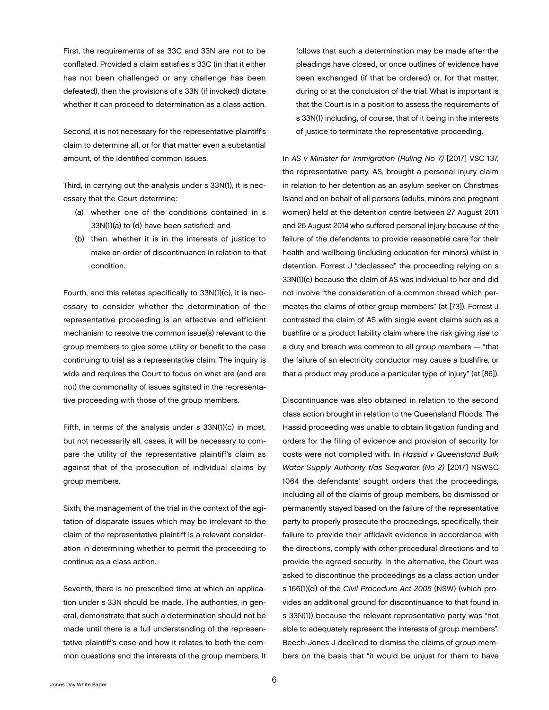First, the requirements of ss 33C and 33N are not to be conflated. Provided a claim satisfies s 33C (in that it either has not been challenged or any challenge has been defeated), then the provisions of s 33N (if invoked) dictate whether it can proceed to determination as a class action.

Second, it is not necessary for the representative plaintiff's claim to determine all, or for that matter even a substantial amount, of the identified common issues.

Third, in carrying out the analysis under s 33N(1), it is necessary that the Court determine:

- (a) whether one of the conditions contained in s 33N(1)(a) to (d) have been satisfied; and
- (b) then, whether it is in the interests of justice to make an order of discontinuance in relation to that condition.

Fourth, and this relates specifically to 33N(1)(c), it is necessary to consider whether the determination of the representative proceeding is an effective and efficient mechanism to resolve the common issue(s) relevant to the group members to give some utility or benefit to the case continuing to trial as a representative claim. The inquiry is wide and requires the Court to focus on what are (and are not) the commonality of issues agitated in the representative proceeding with those of the group members.

Fifth, in terms of the analysis under s 33N(1)(c) in most, but not necessarily all, cases, it will be necessary to compare the utility of the representative plaintiff's claim as against that of the prosecution of individual claims by group members.

Sixth, the management of the trial in the context of the agitation of disparate issues which may be irrelevant to the claim of the representative plaintiff is a relevant consideration in determining whether to permit the proceeding to continue as a class action.

Seventh, there is no prescribed time at which an application under s 33N should be made. The authorities, in general, demonstrate that such a determination should not be made until there is a full understanding of the representative plaintiff's case and how it relates to both the common questions and the interests of the group members. It follows that such a determination may be made after the pleadings have closed, or once outlines of evidence have been exchanged (if that be ordered) or, for that matter, during or at the conclusion of the trial. What is important is that the Court is in a position to assess the requirements of s 33N(1) including, of course, that of it being in the interests of justice to terminate the representative proceeding.

In *AS v Minister for Immigration (Ruling No 7)* [2017] VSC 137, the representative party, AS, brought a personal injury claim in relation to her detention as an asylum seeker on Christmas Island and on behalf of all persons (adults, minors and pregnant women) held at the detention centre between 27 August 2011 and 26 August 2014 who suffered personal injury because of the failure of the defendants to provide reasonable care for their health and wellbeing (including education for minors) whilst in detention. Forrest J "declassed" the proceeding relying on s 33N(1)(c) because the claim of AS was individual to her and did not involve "the consideration of a common thread which permeates the claims of other group members" (at [73]). Forrest J contrasted the claim of AS with single event claims such as a bushfire or a product liability claim where the risk giving rise to a duty and breach was common to all group members — "that the failure of an electricity conductor may cause a bushfire, or that a product may produce a particular type of injury" (at [86]).

Discontinuance was also obtained in relation to the second class action brought in relation to the Queensland Floods. The Hassid proceeding was unable to obtain litigation funding and orders for the filing of evidence and provision of security for costs were not complied with. In *Hassid v Queensland Bulk Water Supply Authority t/as Seqwater (No 2)* [2017] NSWSC 1064 the defendants' sought orders that the proceedings, including all of the claims of group members, be dismissed or permanently stayed based on the failure of the representative party to properly prosecute the proceedings, specifically, their failure to provide their affidavit evidence in accordance with the directions, comply with other procedural directions and to provide the agreed security. In the alternative, the Court was asked to discontinue the proceedings as a class action under s 166(1)(d) of the *Civil Procedure Act 2005* (NSW) (which provides an additional ground for discontinuance to that found in s 33N(1)) because the relevant representative party was "not able to adequately represent the interests of group members". Beech-Jones J declined to dismiss the claims of group members on the basis that "it would be unjust for them to have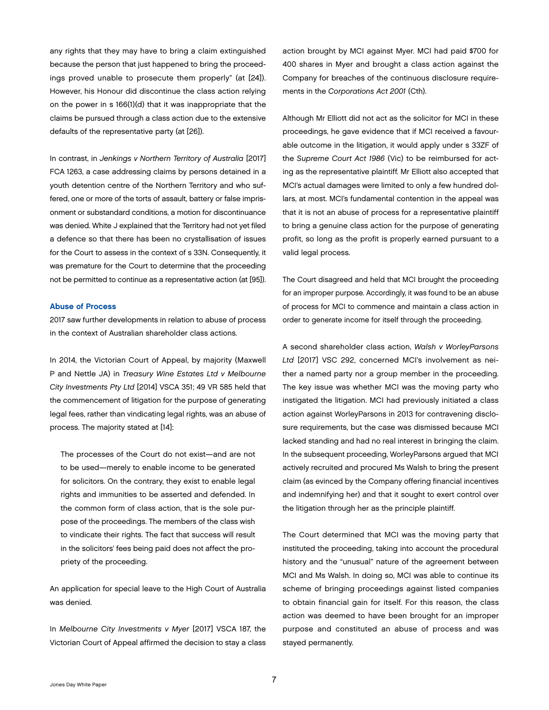<span id="page-8-0"></span>any rights that they may have to bring a claim extinguished because the person that just happened to bring the proceedings proved unable to prosecute them properly" (at [24]). However, his Honour did discontinue the class action relying on the power in s 166(1)(d) that it was inappropriate that the claims be pursued through a class action due to the extensive defaults of the representative party (at [26]).

In contrast, in *Jenkings v Northern Territory of Australia* [2017] FCA 1263, a case addressing claims by persons detained in a youth detention centre of the Northern Territory and who suffered, one or more of the torts of assault, battery or false imprisonment or substandard conditions, a motion for discontinuance was denied. White J explained that the Territory had not yet filed a defence so that there has been no crystallisation of issues for the Court to assess in the context of s 33N. Consequently, it was premature for the Court to determine that the proceeding not be permitted to continue as a representative action (at [95]).

#### Abuse of Process

2017 saw further developments in relation to abuse of process in the context of Australian shareholder class actions.

In 2014, the Victorian Court of Appeal, by majority (Maxwell P and Nettle JA) in *Treasury Wine Estates Ltd v Melbourne City Investments Pty Ltd* [2014] VSCA 351; 49 VR 585 held that the commencement of litigation for the purpose of generating legal fees, rather than vindicating legal rights, was an abuse of process. The majority stated at [14]:

The processes of the Court do not exist—and are not to be used—merely to enable income to be generated for solicitors. On the contrary, they exist to enable legal rights and immunities to be asserted and defended. In the common form of class action, that is the sole purpose of the proceedings. The members of the class wish to vindicate their rights. The fact that success will result in the solicitors' fees being paid does not affect the propriety of the proceeding.

An application for special leave to the High Court of Australia was denied.

In *Melbourne City Investments v Myer* [2017] VSCA 187, the Victorian Court of Appeal affirmed the decision to stay a class action brought by MCI against Myer. MCI had paid \$700 for 400 shares in Myer and brought a class action against the Company for breaches of the continuous disclosure requirements in the *Corporations Act 2001* (Cth).

Although Mr Elliott did not act as the solicitor for MCI in these proceedings, he gave evidence that if MCI received a favourable outcome in the litigation, it would apply under s 33ZF of the *Supreme Court Act 1986* (Vic) to be reimbursed for acting as the representative plaintiff. Mr Elliott also accepted that MCI's actual damages were limited to only a few hundred dollars, at most. MCI's fundamental contention in the appeal was that it is not an abuse of process for a representative plaintiff to bring a genuine class action for the purpose of generating profit, so long as the profit is properly earned pursuant to a valid legal process.

The Court disagreed and held that MCI brought the proceeding for an improper purpose. Accordingly, it was found to be an abuse of process for MCI to commence and maintain a class action in order to generate income for itself through the proceeding.

A second shareholder class action, *Walsh v WorleyParsons Ltd* [2017] VSC 292, concerned MCI's involvement as neither a named party nor a group member in the proceeding. The key issue was whether MCI was the moving party who instigated the litigation. MCI had previously initiated a class action against WorleyParsons in 2013 for contravening disclosure requirements, but the case was dismissed because MCI lacked standing and had no real interest in bringing the claim. In the subsequent proceeding, WorleyParsons argued that MCI actively recruited and procured Ms Walsh to bring the present claim (as evinced by the Company offering financial incentives and indemnifying her) and that it sought to exert control over the litigation through her as the principle plaintiff.

The Court determined that MCI was the moving party that instituted the proceeding, taking into account the procedural history and the "unusual" nature of the agreement between MCI and Ms Walsh. In doing so, MCI was able to continue its scheme of bringing proceedings against listed companies to obtain financial gain for itself. For this reason, the class action was deemed to have been brought for an improper purpose and constituted an abuse of process and was stayed permanently.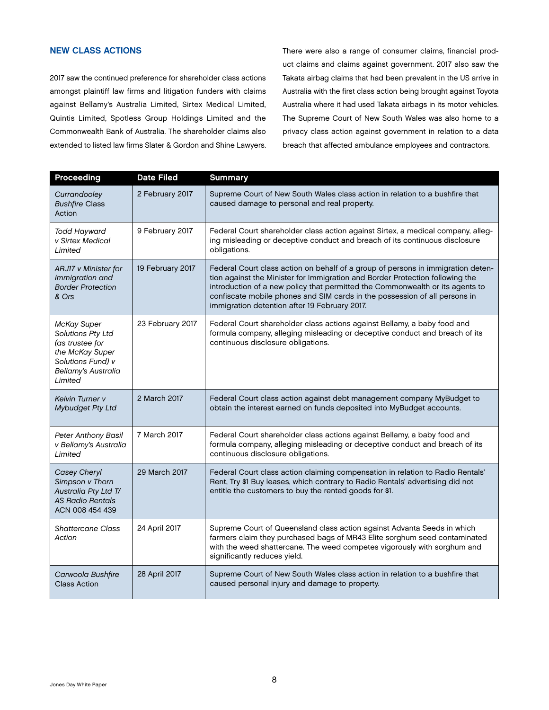# <span id="page-9-0"></span>NEW CLASS ACTIONS

2017 saw the continued preference for shareholder class actions amongst plaintiff law firms and litigation funders with claims against Bellamy's Australia Limited, Sirtex Medical Limited, Quintis Limited, Spotless Group Holdings Limited and the Commonwealth Bank of Australia. The shareholder claims also extended to listed law firms Slater & Gordon and Shine Lawyers. There were also a range of consumer claims, financial product claims and claims against government. 2017 also saw the Takata airbag claims that had been prevalent in the US arrive in Australia with the first class action being brought against Toyota Australia where it had used Takata airbags in its motor vehicles. The Supreme Court of New South Wales was also home to a privacy class action against government in relation to a data breach that affected ambulance employees and contractors.

| Proceeding                                                                                                                           | <b>Date Filed</b> | <b>Summary</b>                                                                                                                                                                                                                                                                                                                                                                    |
|--------------------------------------------------------------------------------------------------------------------------------------|-------------------|-----------------------------------------------------------------------------------------------------------------------------------------------------------------------------------------------------------------------------------------------------------------------------------------------------------------------------------------------------------------------------------|
| Currandooley<br><b>Bushfire Class</b><br>Action                                                                                      | 2 February 2017   | Supreme Court of New South Wales class action in relation to a bushfire that<br>caused damage to personal and real property.                                                                                                                                                                                                                                                      |
| <b>Todd Hayward</b><br>v Sirtex Medical<br>Limited                                                                                   | 9 February 2017   | Federal Court shareholder class action against Sirtex, a medical company, alleg-<br>ing misleading or deceptive conduct and breach of its continuous disclosure<br>obligations.                                                                                                                                                                                                   |
| ARJ17 v Minister for<br>Immigration and<br><b>Border Protection</b><br>& Ors                                                         | 19 February 2017  | Federal Court class action on behalf of a group of persons in immigration deten-<br>tion against the Minister for Immigration and Border Protection following the<br>introduction of a new policy that permitted the Commonwealth or its agents to<br>confiscate mobile phones and SIM cards in the possession of all persons in<br>immigration detention after 19 February 2017. |
| McKay Super<br>Solutions Pty Ltd<br>(as trustee for<br>the McKay Super<br>Solutions Fund) v<br><b>Bellamy's Australia</b><br>Limited | 23 February 2017  | Federal Court shareholder class actions against Bellamy, a baby food and<br>formula company, alleging misleading or deceptive conduct and breach of its<br>continuous disclosure obligations.                                                                                                                                                                                     |
| Kelvin Turner v<br>Mybudget Pty Ltd                                                                                                  | 2 March 2017      | Federal Court class action against debt management company MyBudget to<br>obtain the interest earned on funds deposited into MyBudget accounts.                                                                                                                                                                                                                                   |
| Peter Anthony Basil<br>v Bellamy's Australia<br>Limited                                                                              | 7 March 2017      | Federal Court shareholder class actions against Bellamy, a baby food and<br>formula company, alleging misleading or deceptive conduct and breach of its<br>continuous disclosure obligations.                                                                                                                                                                                     |
| Casey Cheryl<br>Simpson v Thorn<br>Australia Pty Ltd T/<br><b>AS Radio Rentals</b><br>ACN 008 454 439                                | 29 March 2017     | Federal Court class action claiming compensation in relation to Radio Rentals'<br>Rent, Try \$1 Buy leases, which contrary to Radio Rentals' advertising did not<br>entitle the customers to buy the rented goods for \$1.                                                                                                                                                        |
| <b>Shattercane Class</b><br>Action                                                                                                   | 24 April 2017     | Supreme Court of Queensland class action against Advanta Seeds in which<br>farmers claim they purchased bags of MR43 Elite sorghum seed contaminated<br>with the weed shattercane. The weed competes vigorously with sorghum and<br>significantly reduces yield.                                                                                                                  |
| Carwoola Bushfire<br><b>Class Action</b>                                                                                             | 28 April 2017     | Supreme Court of New South Wales class action in relation to a bushfire that<br>caused personal injury and damage to property.                                                                                                                                                                                                                                                    |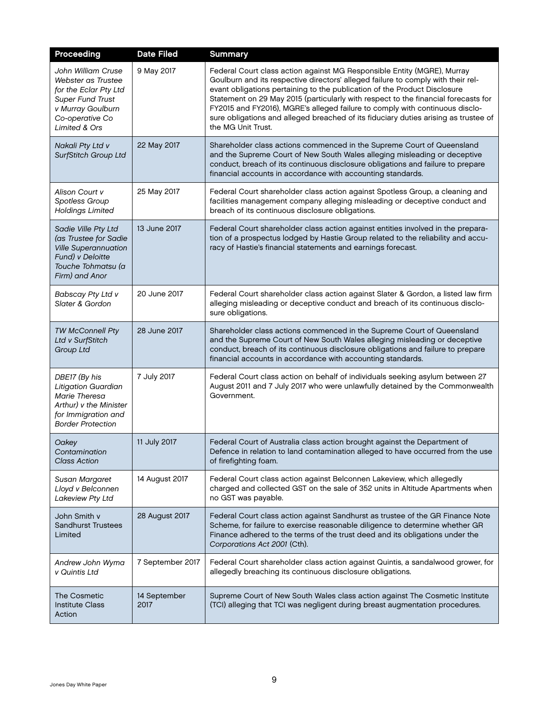| Proceeding                                                                                                                                     | <b>Date Filed</b>    | <b>Summary</b>                                                                                                                                                                                                                                                                                                                                                                                                                                                                                                              |
|------------------------------------------------------------------------------------------------------------------------------------------------|----------------------|-----------------------------------------------------------------------------------------------------------------------------------------------------------------------------------------------------------------------------------------------------------------------------------------------------------------------------------------------------------------------------------------------------------------------------------------------------------------------------------------------------------------------------|
| John William Cruse<br>Webster as Trustee<br>for the Eclar Pty Ltd<br>Super Fund Trust<br>v Murray Goulburn<br>Co-operative Co<br>Limited & Ors | 9 May 2017           | Federal Court class action against MG Responsible Entity (MGRE), Murray<br>Goulburn and its respective directors' alleged failure to comply with their rel-<br>evant obligations pertaining to the publication of the Product Disclosure<br>Statement on 29 May 2015 (particularly with respect to the financial forecasts for<br>FY2015 and FY2016), MGRE's alleged failure to comply with continuous disclo-<br>sure obligations and alleged breached of its fiduciary duties arising as trustee of<br>the MG Unit Trust. |
| Nakali Pty Ltd v<br>SurfStitch Group Ltd                                                                                                       | 22 May 2017          | Shareholder class actions commenced in the Supreme Court of Queensland<br>and the Supreme Court of New South Wales alleging misleading or deceptive<br>conduct, breach of its continuous disclosure obligations and failure to prepare<br>financial accounts in accordance with accounting standards.                                                                                                                                                                                                                       |
| Alison Court v<br>Spotless Group<br><b>Holdings Limited</b>                                                                                    | 25 May 2017          | Federal Court shareholder class action against Spotless Group, a cleaning and<br>facilities management company alleging misleading or deceptive conduct and<br>breach of its continuous disclosure obligations.                                                                                                                                                                                                                                                                                                             |
| Sadie Ville Pty Ltd<br>(as Trustee for Sadie<br><b>Ville Superannuation</b><br>Fund) v Deloitte<br>Touche Tohmatsu (a<br>Firm) and Anor        | 13 June 2017         | Federal Court shareholder class action against entities involved in the prepara-<br>tion of a prospectus lodged by Hastie Group related to the reliability and accu-<br>racy of Hastie's financial statements and earnings forecast.                                                                                                                                                                                                                                                                                        |
| <b>Babscay Pty Ltd v</b><br>Slater & Gordon                                                                                                    | 20 June 2017         | Federal Court shareholder class action against Slater & Gordon, a listed law firm<br>alleging misleading or deceptive conduct and breach of its continuous disclo-<br>sure obligations.                                                                                                                                                                                                                                                                                                                                     |
| <b>TW McConnell Pty</b><br>Ltd v SurfStitch<br>Group Ltd                                                                                       | 28 June 2017         | Shareholder class actions commenced in the Supreme Court of Queensland<br>and the Supreme Court of New South Wales alleging misleading or deceptive<br>conduct, breach of its continuous disclosure obligations and failure to prepare<br>financial accounts in accordance with accounting standards.                                                                                                                                                                                                                       |
| DBE17 (By his<br>Litigation Guardian<br>Marie Theresa<br>Arthur) v the Minister<br>for Immigration and<br><b>Border Protection</b>             | 7 July 2017          | Federal Court class action on behalf of individuals seeking asylum between 27<br>August 2011 and 7 July 2017 who were unlawfully detained by the Commonwealth<br>Government.                                                                                                                                                                                                                                                                                                                                                |
| Oakey<br>Contamination<br><b>Class Action</b>                                                                                                  | 11 July 2017         | Federal Court of Australia class action brought against the Department of<br>Defence in relation to land contamination alleged to have occurred from the use<br>of firefighting foam.                                                                                                                                                                                                                                                                                                                                       |
| Susan Margaret<br>Lloyd v Belconnen<br>Lakeview Pty Ltd                                                                                        | 14 August 2017       | Federal Court class action against Belconnen Lakeview, which allegedly<br>charged and collected GST on the sale of 352 units in Altitude Apartments when<br>no GST was payable.                                                                                                                                                                                                                                                                                                                                             |
| John Smith v<br><b>Sandhurst Trustees</b><br>Limited                                                                                           | 28 August 2017       | Federal Court class action against Sandhurst as trustee of the GR Finance Note<br>Scheme, for failure to exercise reasonable diligence to determine whether GR<br>Finance adhered to the terms of the trust deed and its obligations under the<br>Corporations Act 2001 (Cth).                                                                                                                                                                                                                                              |
| Andrew John Wyma<br>v Quintis Ltd                                                                                                              | 7 September 2017     | Federal Court shareholder class action against Quintis, a sandalwood grower, for<br>allegedly breaching its continuous disclosure obligations.                                                                                                                                                                                                                                                                                                                                                                              |
| The Cosmetic<br><b>Institute Class</b><br>Action                                                                                               | 14 September<br>2017 | Supreme Court of New South Wales class action against The Cosmetic Institute<br>(TCI) alleging that TCI was negligent during breast augmentation procedures.                                                                                                                                                                                                                                                                                                                                                                |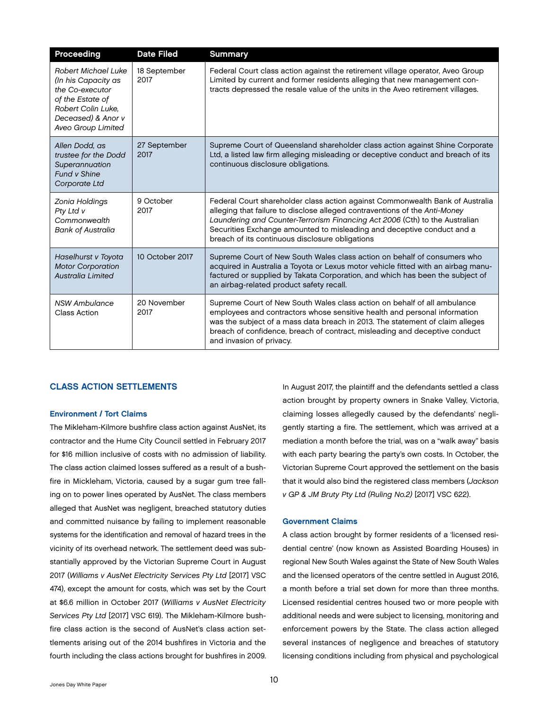<span id="page-11-0"></span>

| Proceeding                                                                                                                                                 | <b>Date Filed</b>    | <b>Summary</b>                                                                                                                                                                                                                                                                                                                                                          |
|------------------------------------------------------------------------------------------------------------------------------------------------------------|----------------------|-------------------------------------------------------------------------------------------------------------------------------------------------------------------------------------------------------------------------------------------------------------------------------------------------------------------------------------------------------------------------|
| <b>Robert Michael Luke</b><br>(In his Capacity as<br>the Co-executor<br>of the Estate of<br>Robert Colin Luke,<br>Deceased) & Anor v<br>Aveo Group Limited | 18 September<br>2017 | Federal Court class action against the retirement village operator, Aveo Group<br>Limited by current and former residents alleging that new management con-<br>tracts depressed the resale value of the units in the Aveo retirement villages.                                                                                                                          |
| Allen Dodd, as<br>trustee for the Dodd<br>Superannuation<br>Fund v Shine<br>Corporate Ltd                                                                  | 27 September<br>2017 | Supreme Court of Queensland shareholder class action against Shine Corporate<br>Ltd, a listed law firm alleging misleading or deceptive conduct and breach of its<br>continuous disclosure obligations.                                                                                                                                                                 |
| Zonia Holdings<br>Pty Ltd v<br>Commonwealth<br><b>Bank of Australia</b>                                                                                    | 9 October<br>2017    | Federal Court shareholder class action against Commonwealth Bank of Australia<br>alleging that failure to disclose alleged contraventions of the Anti-Money<br>Laundering and Counter-Terrorism Financing Act 2006 (Cth) to the Australian<br>Securities Exchange amounted to misleading and deceptive conduct and a<br>breach of its continuous disclosure obligations |
| Haselhurst v Toyota<br><b>Motor Corporation</b><br><b>Australia Limited</b>                                                                                | 10 October 2017      | Supreme Court of New South Wales class action on behalf of consumers who<br>acquired in Australia a Toyota or Lexus motor vehicle fitted with an airbag manu-<br>factured or supplied by Takata Corporation, and which has been the subject of<br>an airbag-related product safety recall.                                                                              |
| NSW Ambulance<br>Class Action                                                                                                                              | 20 November<br>2017  | Supreme Court of New South Wales class action on behalf of all ambulance<br>employees and contractors whose sensitive health and personal information<br>was the subject of a mass data breach in 2013. The statement of claim alleges<br>breach of confidence, breach of contract, misleading and deceptive conduct<br>and invasion of privacy.                        |

#### CLASS ACTION SETTLEMENTS

#### Environment / Tort Claims

The Mikleham-Kilmore bushfire class action against AusNet, its contractor and the Hume City Council settled in February 2017 for \$16 million inclusive of costs with no admission of liability. The class action claimed losses suffered as a result of a bushfire in Mickleham, Victoria, caused by a sugar gum tree falling on to power lines operated by AusNet. The class members alleged that AusNet was negligent, breached statutory duties and committed nuisance by failing to implement reasonable systems for the identification and removal of hazard trees in the vicinity of its overhead network. The settlement deed was substantially approved by the Victorian Supreme Court in August 2017 (*Williams v AusNet Electricity Services Pty Ltd* [2017] VSC 474), except the amount for costs, which was set by the Court at \$6.6 million in October 2017 (*Williams v AusNet Electricity Services Pty Ltd* [2017] VSC 619). The Mikleham-Kilmore bushfire class action is the second of AusNet's class action settlements arising out of the 2014 bushfires in Victoria and the fourth including the class actions brought for bushfires in 2009.

In August 2017, the plaintiff and the defendants settled a class action brought by property owners in Snake Valley, Victoria, claiming losses allegedly caused by the defendants' negligently starting a fire. The settlement, which was arrived at a mediation a month before the trial, was on a "walk away" basis with each party bearing the party's own costs. In October, the Victorian Supreme Court approved the settlement on the basis that it would also bind the registered class members (*Jackson v GP & JM Bruty Pty Ltd (Ruling No.2)* [2017] VSC 622).

#### Government Claims

A class action brought by former residents of a 'licensed residential centre' (now known as Assisted Boarding Houses) in regional New South Wales against the State of New South Wales and the licensed operators of the centre settled in August 2016, a month before a trial set down for more than three months. Licensed residential centres housed two or more people with additional needs and were subject to licensing, monitoring and enforcement powers by the State. The class action alleged several instances of negligence and breaches of statutory licensing conditions including from physical and psychological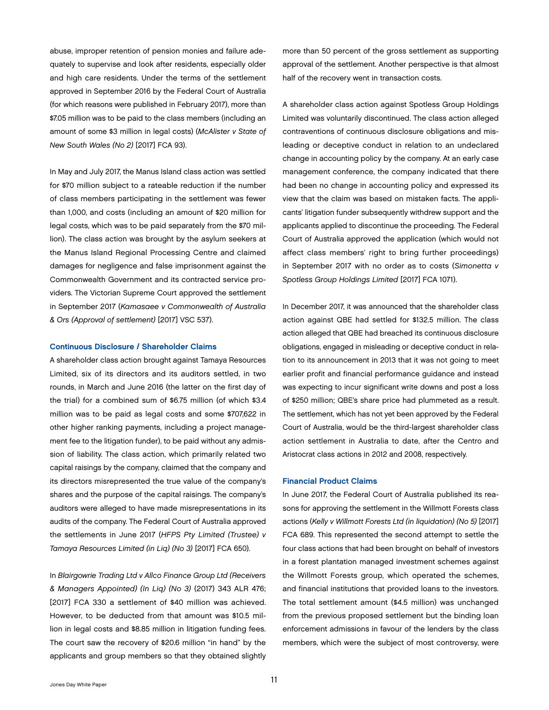<span id="page-12-0"></span>abuse, improper retention of pension monies and failure adequately to supervise and look after residents, especially older and high care residents. Under the terms of the settlement approved in September 2016 by the Federal Court of Australia (for which reasons were published in February 2017), more than \$7.05 million was to be paid to the class members (including an amount of some \$3 million in legal costs) (*McAlister v State of New South Wales (No 2)* [2017] FCA 93).

In May and July 2017, the Manus Island class action was settled for \$70 million subject to a rateable reduction if the number of class members participating in the settlement was fewer than 1,000, and costs (including an amount of \$20 million for legal costs, which was to be paid separately from the \$70 million). The class action was brought by the asylum seekers at the Manus Island Regional Processing Centre and claimed damages for negligence and false imprisonment against the Commonwealth Government and its contracted service providers. The Victorian Supreme Court approved the settlement in September 2017 (*Kamasaee v Commonwealth of Australia & Ors (Approval of settlement)* [2017] VSC 537).

#### Continuous Disclosure / Shareholder Claims

A shareholder class action brought against Tamaya Resources Limited, six of its directors and its auditors settled, in two rounds, in March and June 2016 (the latter on the first day of the trial) for a combined sum of \$6.75 million (of which \$3.4 million was to be paid as legal costs and some \$707,622 in other higher ranking payments, including a project management fee to the litigation funder), to be paid without any admission of liability. The class action, which primarily related two capital raisings by the company, claimed that the company and its directors misrepresented the true value of the company's shares and the purpose of the capital raisings. The company's auditors were alleged to have made misrepresentations in its audits of the company. The Federal Court of Australia approved the settlements in June 2017 (*HFPS Pty Limited (Trustee) v Tamaya Resources Limited (in Liq) (No 3)* [2017] FCA 650).

In *Blairgowrie Trading Ltd v Allco Finance Group Ltd (Receivers & Managers Appointed) (In Liq) (No 3)* (2017) 343 ALR 476; [2017] FCA 330 a settlement of \$40 million was achieved. However, to be deducted from that amount was \$10.5 million in legal costs and \$8.85 million in litigation funding fees. The court saw the recovery of \$20.6 million "in hand" by the applicants and group members so that they obtained slightly

more than 50 percent of the gross settlement as supporting approval of the settlement. Another perspective is that almost half of the recovery went in transaction costs.

A shareholder class action against Spotless Group Holdings Limited was voluntarily discontinued. The class action alleged contraventions of continuous disclosure obligations and misleading or deceptive conduct in relation to an undeclared change in accounting policy by the company. At an early case management conference, the company indicated that there had been no change in accounting policy and expressed its view that the claim was based on mistaken facts. The applicants' litigation funder subsequently withdrew support and the applicants applied to discontinue the proceeding. The Federal Court of Australia approved the application (which would not affect class members' right to bring further proceedings) in September 2017 with no order as to costs (*Simonetta v Spotless Group Holdings Limited* [2017] FCA 1071).

In December 2017, it was announced that the shareholder class action against QBE had settled for \$132.5 million. The class action alleged that QBE had breached its continuous disclosure obligations, engaged in misleading or deceptive conduct in relation to its announcement in 2013 that it was not going to meet earlier profit and financial performance guidance and instead was expecting to incur significant write downs and post a loss of \$250 million; QBE's share price had plummeted as a result. The settlement, which has not yet been approved by the Federal Court of Australia, would be the third-largest shareholder class action settlement in Australia to date, after the Centro and Aristocrat class actions in 2012 and 2008, respectively.

#### Financial Product Claims

In June 2017, the Federal Court of Australia published its reasons for approving the settlement in the Willmott Forests class actions (*Kelly v Willmott Forests Ltd (in liquidation) (No 5)* [2017] FCA 689. This represented the second attempt to settle the four class actions that had been brought on behalf of investors in a forest plantation managed investment schemes against the Willmott Forests group, which operated the schemes, and financial institutions that provided loans to the investors. The total settlement amount (\$4.5 million) was unchanged from the previous proposed settlement but the binding loan enforcement admissions in favour of the lenders by the class members, which were the subject of most controversy, were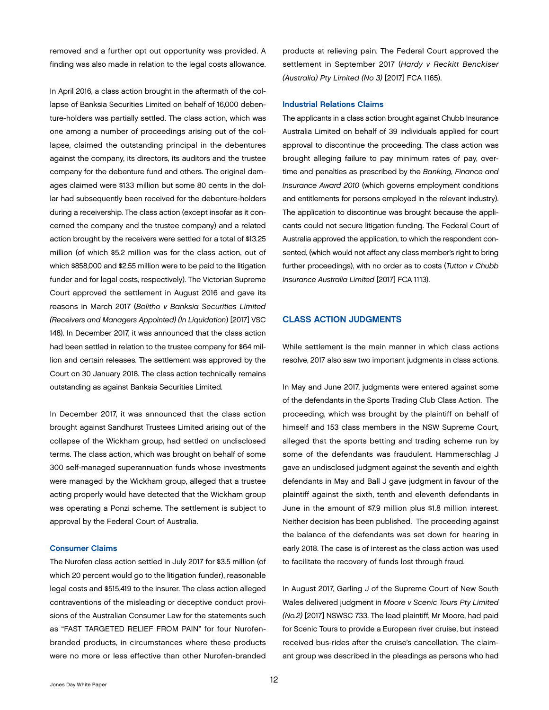<span id="page-13-0"></span>removed and a further opt out opportunity was provided. A finding was also made in relation to the legal costs allowance.

In April 2016, a class action brought in the aftermath of the collapse of Banksia Securities Limited on behalf of 16,000 debenture-holders was partially settled. The class action, which was one among a number of proceedings arising out of the collapse, claimed the outstanding principal in the debentures against the company, its directors, its auditors and the trustee company for the debenture fund and others. The original damages claimed were \$133 million but some 80 cents in the dollar had subsequently been received for the debenture-holders during a receivership. The class action (except insofar as it concerned the company and the trustee company) and a related action brought by the receivers were settled for a total of \$13.25 million (of which \$5.2 million was for the class action, out of which \$858,000 and \$2.55 million were to be paid to the litigation funder and for legal costs, respectively). The Victorian Supreme Court approved the settlement in August 2016 and gave its reasons in March 2017 (*Bolitho v Banksia Securities Limited (Receivers and Managers Appointed) (In Liquidation*) [2017] VSC 148). In December 2017, it was announced that the class action had been settled in relation to the trustee company for \$64 million and certain releases. The settlement was approved by the Court on 30 January 2018. The class action technically remains outstanding as against Banksia Securities Limited.

In December 2017, it was announced that the class action brought against Sandhurst Trustees Limited arising out of the collapse of the Wickham group, had settled on undisclosed terms. The class action, which was brought on behalf of some 300 self-managed superannuation funds whose investments were managed by the Wickham group, alleged that a trustee acting properly would have detected that the Wickham group was operating a Ponzi scheme. The settlement is subject to approval by the Federal Court of Australia.

#### Consumer Claims

The Nurofen class action settled in July 2017 for \$3.5 million (of which 20 percent would go to the litigation funder), reasonable legal costs and \$515,419 to the insurer. The class action alleged contraventions of the misleading or deceptive conduct provisions of the Australian Consumer Law for the statements such as "FAST TARGETED RELIEF FROM PAIN" for four Nurofenbranded products, in circumstances where these products were no more or less effective than other Nurofen-branded

products at relieving pain. The Federal Court approved the settlement in September 2017 (*Hardy v Reckitt Benckiser (Australia) Pty Limited (No 3)* [2017] FCA 1165).

#### Industrial Relations Claims

The applicants in a class action brought against Chubb Insurance Australia Limited on behalf of 39 individuals applied for court approval to discontinue the proceeding. The class action was brought alleging failure to pay minimum rates of pay, overtime and penalties as prescribed by the *Banking, Finance and Insurance Award 2010* (which governs employment conditions and entitlements for persons employed in the relevant industry). The application to discontinue was brought because the applicants could not secure litigation funding. The Federal Court of Australia approved the application, to which the respondent consented, (which would not affect any class member's right to bring further proceedings), with no order as to costs (*Tutton v Chubb Insurance Australia Limited* [2017] FCA 1113).

#### CLASS ACTION JUDGMENTS

While settlement is the main manner in which class actions resolve, 2017 also saw two important judgments in class actions.

In May and June 2017, judgments were entered against some of the defendants in the Sports Trading Club Class Action. The proceeding, which was brought by the plaintiff on behalf of himself and 153 class members in the NSW Supreme Court, alleged that the sports betting and trading scheme run by some of the defendants was fraudulent. Hammerschlag J gave an undisclosed judgment against the seventh and eighth defendants in May and Ball J gave judgment in favour of the plaintiff against the sixth, tenth and eleventh defendants in June in the amount of \$7.9 million plus \$1.8 million interest. Neither decision has been published. The proceeding against the balance of the defendants was set down for hearing in early 2018. The case is of interest as the class action was used to facilitate the recovery of funds lost through fraud.

In August 2017, Garling J of the Supreme Court of New South Wales delivered judgment in *Moore v Scenic Tours Pty Limited (No.2)* [2017] NSWSC 733. The lead plaintiff, Mr Moore, had paid for Scenic Tours to provide a European river cruise, but instead received bus-rides after the cruise's cancellation. The claimant group was described in the pleadings as persons who had